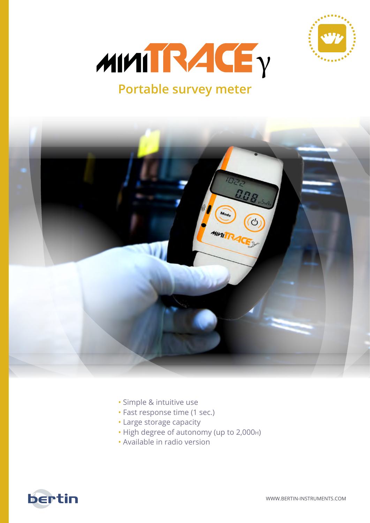



## **Portable survey meter**



- Simple & intuitive use
- Fast response time (1 sec.)
- Large storage capacity
- High degree of autonomy (up to 2,000h)
- Available in radio version